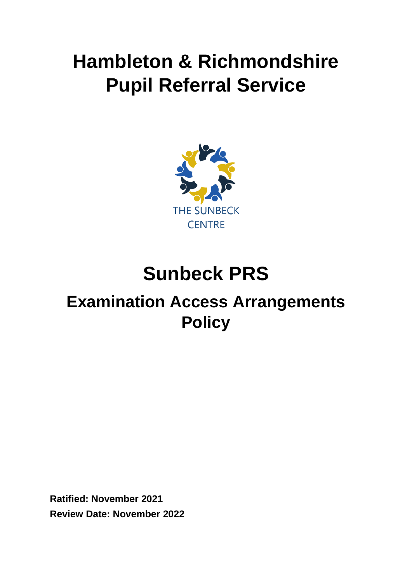# **Hambleton & Richmondshire Pupil Referral Service**



# **Sunbeck PRS**

# **Examination Access Arrangements Policy**

**Ratified: November 2021 Review Date: November 2022**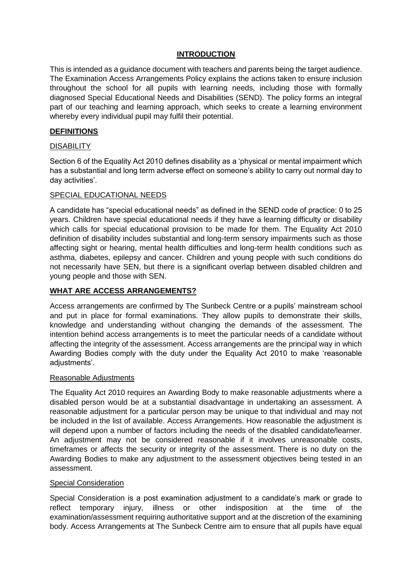# **INTRODUCTION**

This is intended as a guidance document with teachers and parents being the target audience. The Examination Access Arrangements Policy explains the actions taken to ensure inclusion throughout the school for all pupils with learning needs, including those with formally diagnosed Special Educational Needs and Disabilities (SEND). The policy forms an integral part of our teaching and learning approach, which seeks to create a learning environment whereby every individual pupil may fulfil their potential.

# **DEFINITIONS**

# **DISABILITY**

Section 6 of the Equality Act 2010 defines disability as a 'physical or mental impairment which has a substantial and long term adverse effect on someone's ability to carry out normal day to day activities'.

# SPECIAL EDUCATIONAL NEEDS

A candidate has "special educational needs" as defined in the SEND code of practice: 0 to 25 years. Children have special educational needs if they have a learning difficulty or disability which calls for special educational provision to be made for them. The Equality Act 2010 definition of disability includes substantial and long-term sensory impairments such as those affecting sight or hearing, mental health difficulties and long-term health conditions such as asthma, diabetes, epilepsy and cancer. Children and young people with such conditions do not necessarily have SEN, but there is a significant overlap between disabled children and young people and those with SEN.

# **WHAT ARE ACCESS ARRANGEMENTS?**

Access arrangements are confirmed by The Sunbeck Centre or a pupils' mainstream school and put in place for formal examinations. They allow pupils to demonstrate their skills, knowledge and understanding without changing the demands of the assessment. The intention behind access arrangements is to meet the particular needs of a candidate without affecting the integrity of the assessment. Access arrangements are the principal way in which Awarding Bodies comply with the duty under the Equality Act 2010 to make 'reasonable adjustments'.

# Reasonable Adjustments

The Equality Act 2010 requires an Awarding Body to make reasonable adjustments where a disabled person would be at a substantial disadvantage in undertaking an assessment. A reasonable adjustment for a particular person may be unique to that individual and may not be included in the list of available. Access Arrangements. How reasonable the adjustment is will depend upon a number of factors including the needs of the disabled candidate/learner. An adjustment may not be considered reasonable if it involves unreasonable costs, timeframes or affects the security or integrity of the assessment. There is no duty on the Awarding Bodies to make any adjustment to the assessment objectives being tested in an assessment.

# Special Consideration

Special Consideration is a post examination adjustment to a candidate's mark or grade to reflect temporary injury, illness or other indisposition at the time of the examination/assessment requiring authoritative support and at the discretion of the examining body. Access Arrangements at The Sunbeck Centre aim to ensure that all pupils have equal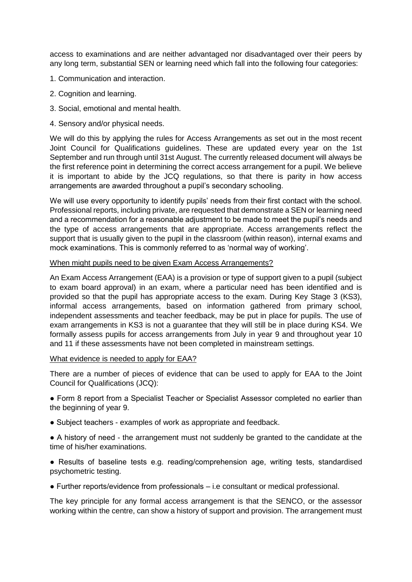access to examinations and are neither advantaged nor disadvantaged over their peers by any long term, substantial SEN or learning need which fall into the following four categories:

- 1. Communication and interaction.
- 2. Cognition and learning.
- 3. Social, emotional and mental health.
- 4. Sensory and/or physical needs.

We will do this by applying the rules for Access Arrangements as set out in the most recent Joint Council for Qualifications guidelines. These are updated every year on the 1st September and run through until 31st August. The currently released document will always be the first reference point in determining the correct access arrangement for a pupil. We believe it is important to abide by the JCQ regulations, so that there is parity in how access arrangements are awarded throughout a pupil's secondary schooling.

We will use every opportunity to identify pupils' needs from their first contact with the school. Professional reports, including private, are requested that demonstrate a SEN or learning need and a recommendation for a reasonable adjustment to be made to meet the pupil's needs and the type of access arrangements that are appropriate. Access arrangements reflect the support that is usually given to the pupil in the classroom (within reason), internal exams and mock examinations. This is commonly referred to as 'normal way of working'.

#### When might pupils need to be given Exam Access Arrangements?

An Exam Access Arrangement (EAA) is a provision or type of support given to a pupil (subject to exam board approval) in an exam, where a particular need has been identified and is provided so that the pupil has appropriate access to the exam. During Key Stage 3 (KS3), informal access arrangements, based on information gathered from primary school, independent assessments and teacher feedback, may be put in place for pupils. The use of exam arrangements in KS3 is not a guarantee that they will still be in place during KS4. We formally assess pupils for access arrangements from July in year 9 and throughout year 10 and 11 if these assessments have not been completed in mainstream settings.

#### What evidence is needed to apply for EAA?

There are a number of pieces of evidence that can be used to apply for EAA to the Joint Council for Qualifications (JCQ):

● Form 8 report from a Specialist Teacher or Specialist Assessor completed no earlier than the beginning of year 9.

• Subject teachers - examples of work as appropriate and feedback.

● A history of need - the arrangement must not suddenly be granted to the candidate at the time of his/her examinations.

● Results of baseline tests e.g. reading/comprehension age, writing tests, standardised psychometric testing.

● Further reports/evidence from professionals – i.e consultant or medical professional.

The key principle for any formal access arrangement is that the SENCO, or the assessor working within the centre, can show a history of support and provision. The arrangement must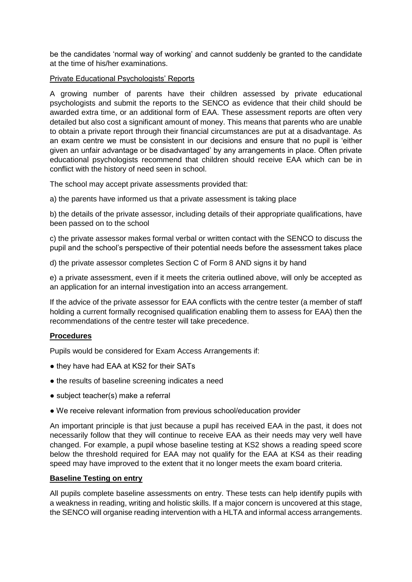be the candidates 'normal way of working' and cannot suddenly be granted to the candidate at the time of his/her examinations.

# Private Educational Psychologists' Reports

A growing number of parents have their children assessed by private educational psychologists and submit the reports to the SENCO as evidence that their child should be awarded extra time, or an additional form of EAA. These assessment reports are often very detailed but also cost a significant amount of money. This means that parents who are unable to obtain a private report through their financial circumstances are put at a disadvantage. As an exam centre we must be consistent in our decisions and ensure that no pupil is 'either given an unfair advantage or be disadvantaged' by any arrangements in place. Often private educational psychologists recommend that children should receive EAA which can be in conflict with the history of need seen in school.

The school may accept private assessments provided that:

a) the parents have informed us that a private assessment is taking place

b) the details of the private assessor, including details of their appropriate qualifications, have been passed on to the school

c) the private assessor makes formal verbal or written contact with the SENCO to discuss the pupil and the school's perspective of their potential needs before the assessment takes place

d) the private assessor completes Section C of Form 8 AND signs it by hand

e) a private assessment, even if it meets the criteria outlined above, will only be accepted as an application for an internal investigation into an access arrangement.

If the advice of the private assessor for EAA conflicts with the centre tester (a member of staff holding a current formally recognised qualification enabling them to assess for EAA) then the recommendations of the centre tester will take precedence.

# **Procedures**

Pupils would be considered for Exam Access Arrangements if:

- they have had EAA at KS2 for their SATs
- the results of baseline screening indicates a need
- subject teacher(s) make a referral
- We receive relevant information from previous school/education provider

An important principle is that just because a pupil has received EAA in the past, it does not necessarily follow that they will continue to receive EAA as their needs may very well have changed. For example, a pupil whose baseline testing at KS2 shows a reading speed score below the threshold required for EAA may not qualify for the EAA at KS4 as their reading speed may have improved to the extent that it no longer meets the exam board criteria.

#### **Baseline Testing on entry**

All pupils complete baseline assessments on entry. These tests can help identify pupils with a weakness in reading, writing and holistic skills. If a major concern is uncovered at this stage, the SENCO will organise reading intervention with a HLTA and informal access arrangements.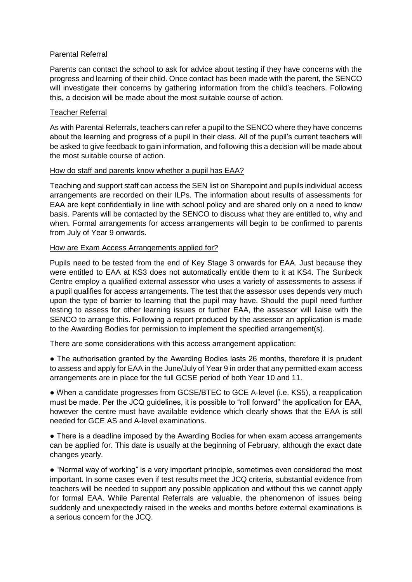# Parental Referral

Parents can contact the school to ask for advice about testing if they have concerns with the progress and learning of their child. Once contact has been made with the parent, the SENCO will investigate their concerns by gathering information from the child's teachers. Following this, a decision will be made about the most suitable course of action.

# Teacher Referral

As with Parental Referrals, teachers can refer a pupil to the SENCO where they have concerns about the learning and progress of a pupil in their class. All of the pupil's current teachers will be asked to give feedback to gain information, and following this a decision will be made about the most suitable course of action.

## How do staff and parents know whether a pupil has EAA?

Teaching and support staff can access the SEN list on Sharepoint and pupils individual access arrangements are recorded on their ILPs. The information about results of assessments for EAA are kept confidentially in line with school policy and are shared only on a need to know basis. Parents will be contacted by the SENCO to discuss what they are entitled to, why and when. Formal arrangements for access arrangements will begin to be confirmed to parents from July of Year 9 onwards.

## How are Exam Access Arrangements applied for?

Pupils need to be tested from the end of Key Stage 3 onwards for EAA. Just because they were entitled to EAA at KS3 does not automatically entitle them to it at KS4. The Sunbeck Centre employ a qualified external assessor who uses a variety of assessments to assess if a pupil qualifies for access arrangements. The test that the assessor uses depends very much upon the type of barrier to learning that the pupil may have. Should the pupil need further testing to assess for other learning issues or further EAA, the assessor will liaise with the SENCO to arrange this. Following a report produced by the assessor an application is made to the Awarding Bodies for permission to implement the specified arrangement(s).

There are some considerations with this access arrangement application:

• The authorisation granted by the Awarding Bodies lasts 26 months, therefore it is prudent to assess and apply for EAA in the June/July of Year 9 in order that any permitted exam access arrangements are in place for the full GCSE period of both Year 10 and 11.

● When a candidate progresses from GCSE/BTEC to GCE A-level (i.e. KS5), a reapplication must be made. Per the JCQ guidelines, it is possible to "roll forward" the application for EAA, however the centre must have available evidence which clearly shows that the EAA is still needed for GCE AS and A-level examinations.

• There is a deadline imposed by the Awarding Bodies for when exam access arrangements can be applied for. This date is usually at the beginning of February, although the exact date changes yearly.

● "Normal way of working" is a very important principle, sometimes even considered the most important. In some cases even if test results meet the JCQ criteria, substantial evidence from teachers will be needed to support any possible application and without this we cannot apply for formal EAA. While Parental Referrals are valuable, the phenomenon of issues being suddenly and unexpectedly raised in the weeks and months before external examinations is a serious concern for the JCQ.